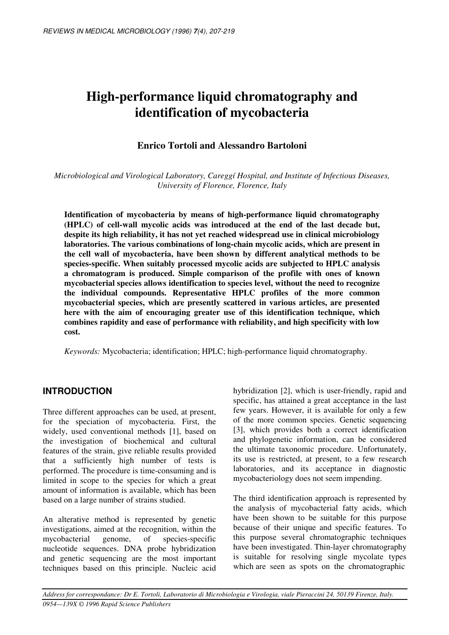# **High-performance liquid chromatography and identification of mycobacteria**

# **Enrico Tortoli and Alessandro Bartoloni**

*Microbiological and Virological Laboratory, Careggí Hospital, and Institute of Infectious Diseases, University of Florence, Florence, Italy*

**Identification of mycobacteria by means of high-performance liquid chromatography (HPLC) of cell-wall mycolic acids was introduced at the end of the last decade but, despite its high reliability, it has not yet reached widespread use in clinical microbiology laboratories. The various combinations of long-chain mycolic acids, which are present in the cell wall of mycobacteria, have been shown by different analytical methods to be species-specific. When suitably processed mycolic acids are subjected to HPLC analysis a chromatogram is produced. Simple comparison of the profile with ones of known mycobacterial species allows identification to species level, without the need to recognize the individual compounds. Representative HPLC profiles of the more common mycobacterial species, which are presently scattered in various articles, are presented here with the aim of encouraging greater use of this identification technique, which combines rapidity and ease of performance with reliability, and high specificity with low cost.**

*Keywords:* Mycobacteria; identification; HPLC; high-performance liquid chromatography.

# **INTRODUCTION**

Three different approaches can be used, at present, for the speciation of mycobacteria. First, the widely, used conventional methods [1], based on the investigation of biochemical and cultural features of the strain, give reliable results provided that a sufficiently high number of tests is performed. The procedure is time-consuming and is limited in scope to the species for which a great amount of information is available, which has been based on a large number of strains studied.

An alterative method is represented by genetic investigations, aimed at the recognition, within the mycobacterial genome, of species-specific nucleotide sequences. DNA probe hybridization and genetic sequencing are the most important techniques based on this principle. Nucleic acid hybridization [2], which is user-friendly, rapid and specific, has attained a great acceptance in the last few years. However, it is available for only a few of the more common species. Genetic sequencing [3], which provides both a correct identification and phylogenetic information, can be considered the ultimate taxonomic procedure. Unfortunately, its use is restricted, at present, to a few research laboratories, and its acceptance in diagnostic mycobacteriology does not seem impending.

The third identification approach is represented by the analysis of mycobacterial fatty acids, which have been shown to be suitable for this purpose because of their unique and specific features. To this purpose several chromatographic techniques have been investigated. Thin-layer chromatography is suitable for resolving single mycolate types which are seen as spots on the chromatographic

Address for correspondance: Dr E. Tortoli, Laboratorio di Microbiologia e Virologia, viale Pieraccini 24, 50139 Firenze, Italy. *0954—139X © 1996 Rapid Science Publishers*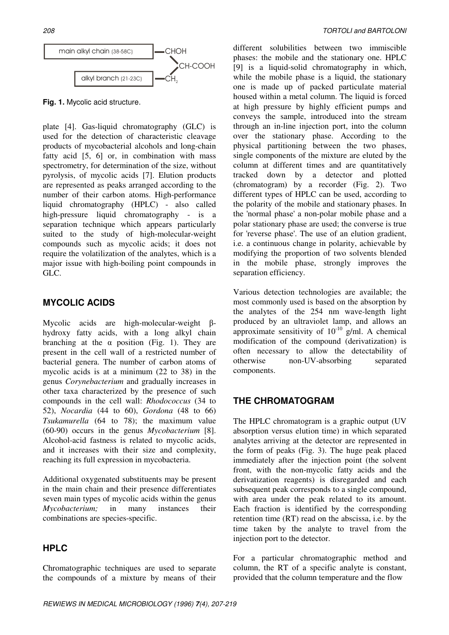

**Fig. 1.** Mycolic acid structure.

plate [4]. Gas-liquid chromatography (GLC) is used for the detection of characteristic cleavage products of mycobacterial alcohols and long-chain fatty acid [5, 6] or, in combination with mass spectrometry, for determination of the size, without pyrolysis, of mycolic acids [7]. Elution products are represented as peaks arranged according to the number of their carbon atoms. High-performance liquid chromatography (HPLC) - also called high-pressure liquid chromatography - is a separation technique which appears particularly suited to the study of high-molecular-weight compounds such as mycolic acids; it does not require the volatilization of the analytes, which is a major issue with high-boiling point compounds in GLC.

## **MYCOLIC ACIDS**

Mycolic acids are high-molecular-weight  $\beta$ hydroxy fatty acids, with a long alkyl chain branching at the  $\alpha$  position (Fig. 1). They are present in the cell wall of a restricted number of bacterial genera. The number of carbon atoms of mycolic acids is at a minimum (22 to 38) in the genus *Corynebacterium* and gradually increases in other taxa characterized by the presence of such compounds in the cell wall: *Rhodococcus* (34 to 52), *Nocardia* (44 to 60), *Gordona* (48 to 66) *Tsukamurella* (64 to 78); the maximum value (60-90) occurs in the genus *Mycobacterium* [8]. Alcohol-acid fastness is related to mycolic acids, and it increases with their size and complexity, reaching its full expression in mycobacteria.

Additional oxygenated substituents may be present in the main chain and their presence differentiates seven main types of mycolic acids within the genus *Mycobacterium;* in many instances their combinations are species-specific.

# **HPLC**

Chromatographic techniques are used to separate the compounds of a mixture by means of their

different solubilities between two immiscible phases: the mobile and the stationary one. HPLC [9] is a liquid-solid chromatography in which, while the mobile phase is a liquid, the stationary one is made up of packed particulate material housed within a metal column. The liquid is forced at high pressure by highly efficient pumps and conveys the sample, introduced into the stream through an in-line injection port, into the column over the stationary phase. According to the physical partitioning between the two phases, single components of the mixture are eluted by the column at different times and are quantitatively tracked down by a detector and plotted (chromatogram) by a recorder (Fig. 2). Two different types of HPLC can be used, according to the polarity of the mobile and stationary phases. In the 'normal phase' a non-polar mobile phase and a polar stationary phase are used; the converse is true for 'reverse phase'. The use of an elution gradient, i.e. a continuous change in polarity, achievable by modifying the proportion of two solvents blended in the mobile phase, strongly improves the separation efficiency.

Various detection technologies are available; the most commonly used is based on the absorption by the analytes of the 254 nm wave-length light produced by an ultraviolet lamp, and allows an approximate sensitivity of  $10^{-10}$  g/ml. A chemical modification of the compound (derivatization) is often necessary to allow the detectability of otherwise non-UV-absorbing separated components.

# **THE CHROMATOGRAM**

The HPLC chromatogram is a graphic output (UV absorption versus elution time) in which separated analytes arriving at the detector are represented in the form of peaks (Fig. 3). The huge peak placed immediately after the injection point (the solvent front, with the non-mycolic fatty acids and the derivatization reagents) is disregarded and each subsequent peak corresponds to a single compound, with area under the peak related to its amount. Each fraction is identified by the corresponding retention time (RT) read on the abscissa, i.e. by the time taken by the analyte to travel from the injection port to the detector.

For a particular chromatographic method and column, the RT of a specific analyte is constant, provided that the column temperature and the flow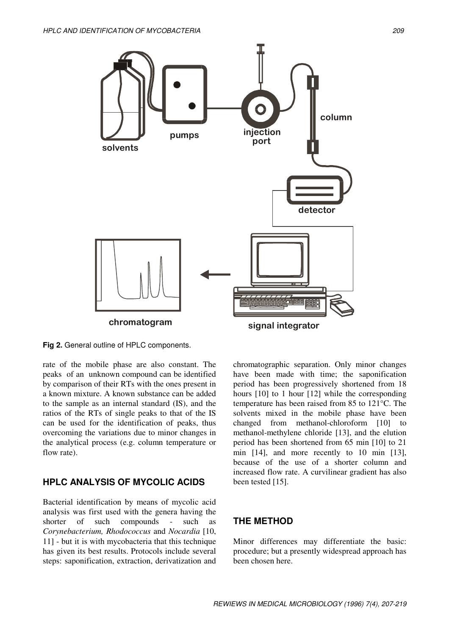

**Fig 2.** General outline of HPLC components.

rate of the mobile phase are also constant. The peaks of an unknown compound can be identified by comparison of their RTs with the ones present in a known mixture. A known substance can be added to the sample as an internal standard (IS), and the ratios of the RTs of single peaks to that of the IS can be used for the identification of peaks, thus overcoming the variations due to minor changes in the analytical process (e.g. column temperature or flow rate).

# **HPLC ANALYSIS OF MYCOLIC ACIDS**

Bacterial identification by means of mycolic acid analysis was first used with the genera having the shorter of such compounds - such as *Corynebacterium, Rhodococcus* and *Nocardia* [10, 11] - but it is with mycobacteria that this technique has given its best results. Protocols include several steps: saponification, extraction, derivatization and chromatographic separation. Only minor changes have been made with time; the saponification period has been progressively shortened from 18 hours [10] to 1 hour [12] while the corresponding temperature has been raised from 85 to 121°C. The solvents mixed in the mobile phase have been changed from methanol-chloroform [10] to methanol-methylene chloride [13], and the elution period has been shortened from 65 min [10] to 21 min [14], and more recently to 10 min [13], because of the use of a shorter column and increased flow rate. A curvilinear gradient has also been tested [15].

## **THE METHOD**

Minor differences may differentiate the basic: procedure; but a presently widespread approach has been chosen here.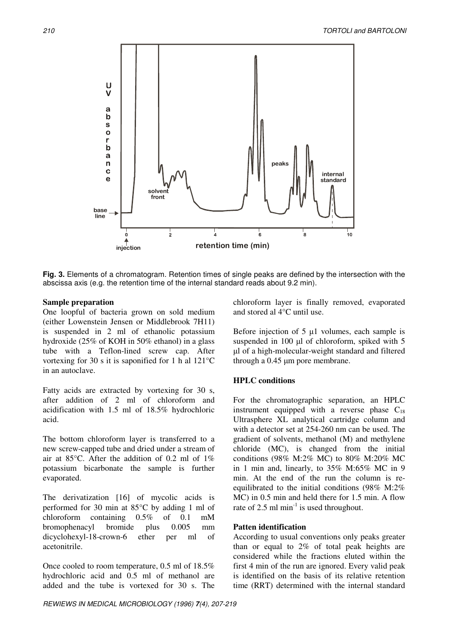

**Fig. 3.** Elements of a chromatogram. Retention times of single peaks are defined by the intersection with the abscissa axis (e.g. the retention time of the internal standard reads about 9.2 min).

#### **Sample preparation**

One loopful of bacteria grown on sold medium (either Lowenstein Jensen or Middlebrook 7H11) is suspended in 2 ml of ethanolic potassium hydroxide (25% of KOH in 50% ethanol) in a glass tube with a Teflon-lined screw cap. After vortexing for 30 s it is saponified for 1 h al 121°C in an autoclave.

Fatty acids are extracted by vortexing for 30 s, after addition of 2 ml of chloroform and acidification with 1.5 ml of 18.5% hydrochloric acid.

The bottom chloroform layer is transferred to a new screw-capped tube and dried under a stream of air at  $85^{\circ}$ C. After the addition of 0.2 ml of 1% potassium bicarbonate the sample is further evaporated.

The derivatization [16] of mycolic acids is performed for 30 min at 85°C by adding 1 ml of chloroform containing 0.5% of 0.1 mM bromophenacyl bromide plus 0.005 mm dicyclohexyl-18-crown-6 ether per ml of acetonitrile.

Once cooled to room temperature, 0.5 ml of 18.5% hydrochloric acid and 0.5 ml of methanol are added and the tube is vortexed for 30 s. The chloroform layer is finally removed, evaporated and stored al 4°C until use.

Before injection of  $5 \mu l$  volumes, each sample is suspended in 100  $\mu$ l of chloroform, spiked with 5 l of a high-molecular-weight standard and filtered through a 0.45 um pore membrane.

#### **HPLC conditions**

For the chromatographic separation, an HPLC instrument equipped with a reverse phase  $C_{18}$ Ultrasphere XL analytical cartridge column and with a detector set at 254-260 nm can be used. The gradient of solvents, methanol (M) and methylene chloride (MC), is changed from the initial conditions (98% M:2% MC) to 80% M:20% MC in 1 min and, linearly, to 35% M:65% MC in 9 min. At the end of the run the column is reequilibrated to the initial conditions (98% M:2% MC) in 0.5 min and held there for 1.5 min. A flow rate of 2.5 ml  $min^{-1}$  is used throughout.

#### **Patten identification**

According to usual conventions only peaks greater than or equal to 2% of total peak heights are considered while the fractions eluted within the first 4 min of the run are ignored. Every valid peak is identified on the basis of its relative retention time (RRT) determined with the internal standard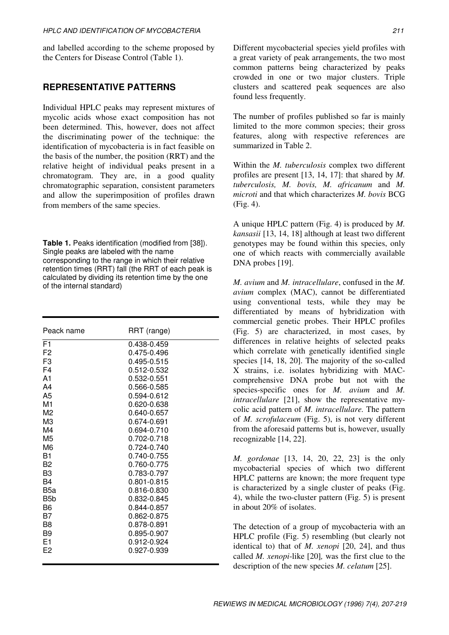and labelled according to the scheme proposed by the Centers for Disease Control (Table 1).

## **REPRESENTATIVE PATTERNS**

Individual HPLC peaks may represent mixtures of mycolic acids whose exact composition has not been determined. This, however, does not affect the discriminating power of the technique: the identification of mycobacteria is in fact feasible on the basis of the number, the position (RRT) and the relative height of individual peaks present in a chromatogram. They are, in a good quality chromatographic separation, consistent parameters and allow the superimposition of profiles drawn from members of the same species.

**Table 1.** Peaks identification (modified from [38]). Single peaks are labeled with the name corresponding to the range in which their relative retention times (RRT) fall (the RRT of each peak is calculated by dividing its retention time by the one of the internal standard)

| Peack name     |                 |
|----------------|-----------------|
|                | RRT (range)     |
| F <sub>1</sub> | 0.438-0.459     |
| F <sub>2</sub> | 0.475-0.496     |
| F <sub>3</sub> | 0.495-0.515     |
| F <sub>4</sub> | 0.512-0.532     |
| A <sub>1</sub> | 0.532-0.551     |
| A4             | 0.566-0.585     |
| A5             | 0.594-0.612     |
| M <sub>1</sub> | 0.620-0.638     |
| M2             | 0.640-0.657     |
| MЗ             | 0.674-0.691     |
| M4             | 0.694-0.710     |
| M5             | 0.702-0.718     |
| M6             | $0.724 - 0.740$ |
| B1             | 0.740-0.755     |
| B <sub>2</sub> | 0.760-0.775     |
| B <sub>3</sub> | 0.783-0.797     |
| B4             | 0.801-0.815     |
| B5a            | 0.816-0.830     |
| B5b            | 0.832-0.845     |
| B <sub>6</sub> | 0.844-0.857     |
| B7             | 0.862-0.875     |
| B <sub>8</sub> | 0.878-0.891     |
| B <sub>9</sub> | 0.895-0.907     |
| F <sub>1</sub> | 0.912-0.924     |
| F <sub>2</sub> | 0.927-0.939     |
|                |                 |

Different mycobacterial species yield profiles with a great variety of peak arrangements, the two most common patterns being characterized by peaks crowded in one or two major clusters. Triple clusters and scattered peak sequences are also found less frequently.

The number of profiles published so far is mainly limited to the more common species; their gross features, along with respective references are summarized in Table 2.

Within the *M. tuberculosis* complex two different profiles are present [13, 14, 17]: that shared by *M. tuberculosis, M. bovis, M. africanum* and *M. microti* and that which characterizes *M. bovis* BCG (Fig. 4).

A unique HPLC pattern (Fig. 4) is produced by *M. kansasii* [13, 14, 18] although at least two different genotypes may be found within this species, only one of which reacts with commercially available DNA probes [19].

*M. avium* and *M. intracellulare*, confused in the *M. avium* complex (MAC), cannot be differentiated using conventional tests, while they may be differentiated by means of hybridization with commercial genetic probes. Their HPLC profiles (Fig. 5) are characterized, in most cases, by differences in relative heights of selected peaks which correlate with genetically identified single species [14, 18, 20]. The majority of the so-called X strains, i.e. isolates hybridizing with MACcomprehensive DNA probe but not with the species-specific ones for *M. avium* and *M. intracellulare* [21], show the representative mycolic acid pattern of *M. intracellulare.* The pattern of *M. scrofulaceum* (Fig. 5), is not very different from the aforesaid patterns but is, however, usually recognizable [14, 22].

*M. gordonae* [13, 14, 20, 22, 23] is the only mycobacterial species of which two different HPLC patterns are known; the more frequent type is characterized by a single cluster of peaks (Fig. 4), while the two-cluster pattern (Fig. 5) is present in about 20% of isolates.

The detection of a group of mycobacteria with an HPLC profile (Fig. 5) resembling (but clearly not identical to) that of *M. xenopi* [20, 24], and thus called *M. xenopi*-like [20]*,* was the first clue to the description of the new species *M. celatum* [25].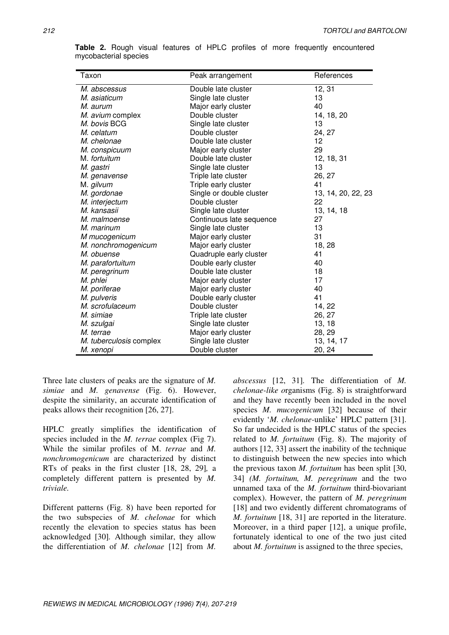| Taxon                   | Peak arrangement         | References         |
|-------------------------|--------------------------|--------------------|
| M. abscessus            | Double late cluster      | 12, 31             |
| M. asiaticum            | Single late cluster      | 13                 |
| M. aurum                | Major early cluster      | 40                 |
| M. avium complex        | Double cluster           | 14, 18, 20         |
| M. bovis BCG            | Single late cluster      | 13                 |
| M. celatum              | Double cluster           | 24, 27             |
| M. chelonae             | Double late cluster      | 12                 |
| M. conspicuum           | Major early cluster      | 29                 |
| M. fortuitum            | Double late cluster      | 12, 18, 31         |
| M. gastri               | Single late cluster      | 13                 |
| M. genavense            | Triple late cluster      | 26, 27             |
| M. gilvum               | Triple early cluster     | 41                 |
| M. gordonae             | Single or double cluster | 13, 14, 20, 22, 23 |
| M. interjectum          | Double cluster           | 22                 |
| M. kansasii             | Single late cluster      | 13, 14, 18         |
| M. malmoense            | Continuous late sequence | 27                 |
| M. marinum              | Single late cluster      | 13                 |
| M mucogenicum           | Major early cluster      | 31                 |
| M. nonchromogenicum     | Major early cluster      | 18, 28             |
| M. obuense              | Quadruple early cluster  | 41                 |
| M. parafortuitum        | Double early cluster     | 40                 |
| M. peregrinum           | Double late cluster      | 18                 |
| M. phlei                | Major early cluster      | 17                 |
| M. poriferae            | Major early cluster      | 40                 |
| M. pulveris             | Double early cluster     | 41                 |
| M. scrofulaceum         | Double cluster           | 14, 22             |
| M. simiae               | Triple late cluster      | 26, 27             |
| M. szulgai              | Single late cluster      | 13, 18             |
| M. terrae               | Major early cluster      | 28, 29             |
| M. tuberculosis complex | Single late cluster      | 13, 14, 17         |
| M. xenopi               | Double cluster           | 20, 24             |

**Table 2.** Rough visual features of HPLC profiles of more frequently encountered mycobacterial species

Three late clusters of peaks are the signature of *M. simiae* and *M. genavense* (Fig. 6). However, despite the similarity, an accurate identification of peaks allows their recognition [26, 27].

HPLC greatly simplifies the identification of species included in the *M. terrae* complex (Fig 7). While the similar profiles of M. *terrae* and *M. nonchromogenicum* are characterized by distinct RTs of peaks in the first cluster [18, 28, 29]*,* a completely different pattern is presented by *M. triviale.*

Different patterns (Fig. 8) have been reported for the two subspecies of *M. chelonae* for which recently the elevation to species status has been acknowledged [30]*.* Although similar, they allow the differentiation of *M. chelonae* [12] from *M.*

*abscessus* [12, 31]*.* The differentiation of *M. chelonae-like o*rganisms (Fig. 8) is straightforward and they have recently been included in the novel species *M. mucogenicum* [32] because of their evidently '*M. chelonae-*unlike' HPLC pattern [31]. So far undecided is the HPLC status of the species related to *M. fortuitum* (Fig. 8). The majority of authors [12, 33] assert the inability of the technique to distinguish between the new species into which the previous taxon *M. fortuitum* has been split [30, 34] *(M. fortuitum, M. peregrinum* and the two unnamed taxa of the *M. fortuitum* third-biovariant complex). However, the pattern of *M. peregrinum* [18] and two evidently different chromatograms of *M. fortuitum* [18, 31] are reported in the literature. Moreover, in a third paper [12], a unique profile, fortunately identical to one of the two just cited about *M. fortuitum* is assigned to the three species,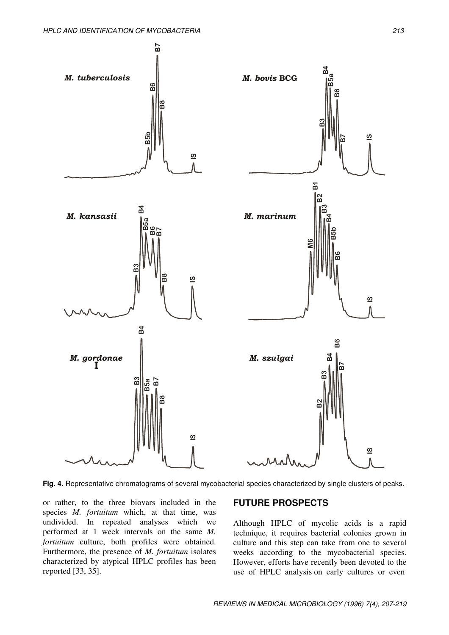

**Fig. 4.** Representative chromatograms of several mycobacterial species characterized by single clusters of peaks.

or rather, to the three biovars included in the species *M. fortuitum* which, at that time, was undivided. In repeated analyses which we performed at 1 week intervals on the same *M. fortuitum* culture, both profiles were obtained. Furthermore, the presence of *M. fortuitum* isolates characterized by atypical HPLC profiles has been reported [33, 35].

#### **FUTURE PROSPECTS**

Although HPLC of mycolic acids is a rapid technique, it requires bacterial colonies grown in culture and this step can take from one to several weeks according to the mycobacterial species. However, efforts have recently been devoted to the use of HPLC analysis on early cultures or even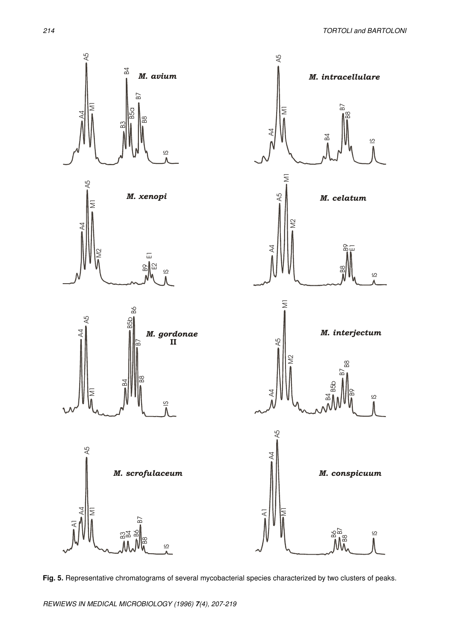

**Fig. 5.** Representative chromatograms of several mycobacterial species characterized by two clusters of peaks.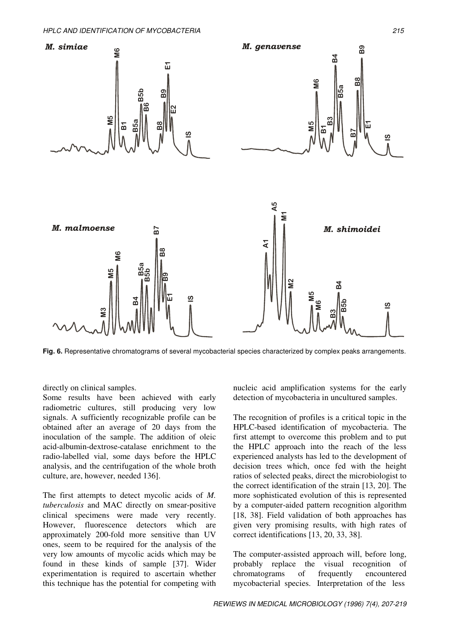

**Fig. 6.** Representative chromatograms of several mycobacterial species characterized by complex peaks arrangements.

directly on clinical samples.

Some results have been achieved with early radiometric cultures, still producing very low signals. A sufficiently recognizable profile can be obtained after an average of 20 days from the inoculation of the sample. The addition of oleic acid-albumin-dextrose-catalase enrichment to the radio-labelled vial, some days before the HPLC analysis, and the centrifugation of the whole broth culture, are, however, needed 136].

The first attempts to detect mycolic acids of *M. tuberculosis* and MAC directly on smear-positive clinical specimens were made very recently. However, fluorescence detectors which are approximately 200-fold more sensitive than UV ones, seem to be required for the analysis of the very low amounts of mycolic acids which may be found in these kinds of sample [37]. Wider experimentation is required to ascertain whether this technique has the potential for competing with nucleic acid amplification systems for the early detection of mycobacteria in uncultured samples.

The recognition of profiles is a critical topic in the HPLC-based identification of mycobacteria. The first attempt to overcome this problem and to put the HPLC approach into the reach of the less experienced analysts has led to the development of decision trees which, once fed with the height ratios of selected peaks, direct the microbiologist to the correct identification of the strain [13, 20]. The more sophisticated evolution of this is represented by a computer-aided pattern recognition algorithm [18, 38]. Field validation of both approaches has given very promising results, with high rates of correct identifications [13, 20, 33, 38].

The computer-assisted approach will, before long, probably replace the visual recognition of chromatograms of frequently encountered mycobacterial species. Interpretation of the less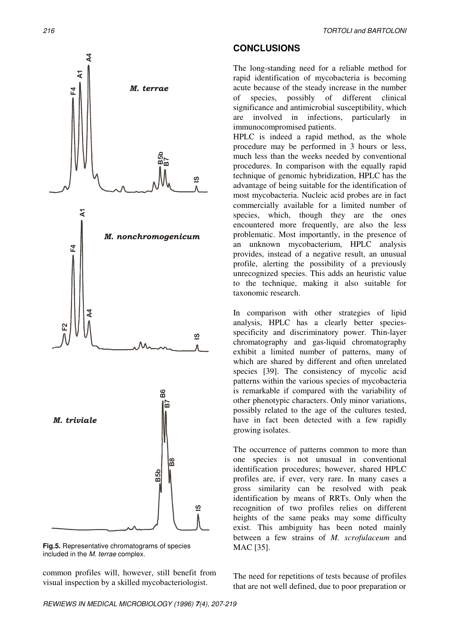

**Fig.5.** Representative chromatograms of species included in the *M. terrae* complex.

common profiles will, however, still benefit from visual inspection by a skilled mycobacteriologist.

# **CONCLUSIONS**

The long-standing need for a reliable method for rapid identification of mycobacteria is becoming acute because of the steady increase in the number of species, possibly of different clinical significance and antimicrobial susceptibility, which are involved in infections, particularly in immunocompromised patients.

HPLC is indeed a rapid method, as the whole procedure may be performed in 3 hours or less, much less than the weeks needed by conventional procedures. In comparison with the equally rapid technique of genomic hybridization, HPLC has the advantage of being suitable for the identification of most mycobacteria. Nucleic acid probes are in fact commercially available for a limited number of species, which, though they are the ones encountered more frequently, are also the less problematic. Most importantly, in the presence of an unknown mycobacterium, HPLC analysis provides, instead of a negative result, an unusual profile, alerting the possibility of a previously unrecognized species. This adds an heuristic value to the technique, making it also suitable for taxonomic research.

In comparison with other strategies of lipid analysis, HPLC has a clearly better speciesspecificity and discriminatory power. Thin-layer chromatography and gas-liquid chromatography exhibit a limited number of patterns, many of which are shared by different and often unrelated species [39]. The consistency of mycolic acid patterns within the various species of mycobacteria is remarkable if compared with the variability of other phenotypic characters. Only minor variations, possibly related to the age of the cultures tested, have in fact been detected with a few rapidly growing isolates.

The occurrence of patterns common to more than one species is not unusual in conventional identification procedures; however, shared HPLC profiles are, if ever, very rare. In many cases a gross similarity can be resolved with peak identification by means of RRTs. Only when the recognition of two profiles relies on different heights of the same peaks may some difficulty exist. This ambiguity has been noted mainly between a few strains of *M. scrofulaceum* and MAC [35].

The need for repetitions of tests because of profiles that are not well defined, due to poor preparation or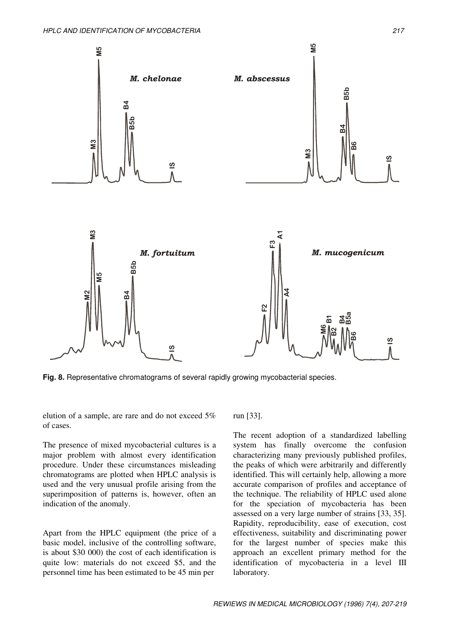

**Fig. 8.** Representative chromatograms of several rapidly growing mycobacterial species.

elution of a sample, are rare and do not exceed 5% of cases.

The presence of mixed mycobacterial cultures is a major problem with almost every identification procedure. Under these circumstances misleading chromatograms are plotted when HPLC analysis is used and the very unusual profile arising from the superimposition of patterns is, however, often an indication of the anomaly.

Apart from the HPLC equipment (the price of a basic model, inclusive of the controlling software, is about \$30 000) the cost of each identification is quite low: materials do not exceed \$5, and the personnel time has been estimated to be 45 min per

run [33].

The recent adoption of a standardized labelling system has finally overcome the confusion characterizing many previously published profiles, the peaks of which were arbitrarily and differently identified. This will certainly help, allowing a more accurate comparison of profiles and acceptance of the technique. The reliability of HPLC used alone for the speciation of mycobacteria has been assessed on a very large number of strains [33, 35]. Rapidity, reproducibility, ease of execution, cost effectiveness, suitability and discriminating power for the largest number of species make this approach an excellent primary method for the identification of mycobacteria in a level III laboratory.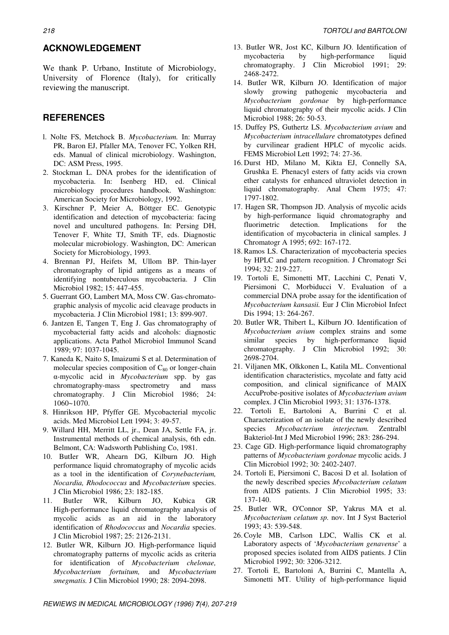#### **ACKNOWLEDGEMENT**

We thank P. Urbano, Institute of Microbiology, University of Florence (Italy), for critically reviewing the manuscript.

#### **REFERENCES**

- l. Nolte FS, Metchock B. *Mycobacterium.* In: Murray PR, Baron EJ, Pfaller MA, Tenover FC, Yolken RH, eds. Manual of clinical microbiology. Washington, DC: ASM Press, 1995.
- 2. Stockman L. DNA probes for the identification of mycobacteria. In: Isenberg HD, ed. Clinical microbiology procedures handbook. Washington: American Society for Microbiology, 1992.
- 3. Kirschner P, Meier A, Böttger EC. Genotypic identification and detection of mycobacteria: facing novel and uncultured pathogens. In: Persing DH, Tenover F, White TJ, Smith TF, eds. Diagnostic molecular microbiology. Washington, DC: American Society for Microbiology, 1993.
- 4. Brennan PJ, Heifets M, Ullom BP. Thin-layer chromatography of lipid antigens as a means of identifying nontuberculous mycobacteria. J Clin Microbiol 1982; 15: 447-455.
- 5. Guerrant GO, Lambert MA, Moss CW. Gas-chromatographic analysis of mycolic acid cleavage products in mycobacteria. J Clin Microbiol 1981; 13: 899-907.
- 6. Jantzen E, Tangen T, Eng J. Gas chromatography of mycobacterial fatty acids and alcohols: diagnostic applications. Acta Pathol Microbiol Immunol Scand 1989; 97: 1037-1045.
- 7. Kaneda K, Naito S, Imaizumi S et al. Determination of molecular species composition of  $C_{80}$  or longer-chain --mycolic acid in *Mycobacterium* spp. by gas chromatography-mass spectrometry and mass chromatography. J Clin Microbiol 1986; 24: 1060~1070.
- 8. Hinrikson HP, Pfyffer GE. Mycobacterial mycolic acids. Med Microbiol Lett 1994; 3: 49-57.
- 9. Willard HH, Merritt LL, jr., Dean JA, Settle FA, jr. Instrumental methods of chemical analysis, 6th edn. Belmont, CA: Wadsworth Publishing Co, 1981.
- 10. ButIer WR, Ahearn DG, Kilburn JO. High performance liquid chromatography of mycolic acids as a tool in the identification of *Corynebacterium, Nocardia, Rhodococcus* and *Mycobacterium* species. J Clin Microbiol 1986; 23: 182-185.
- 11. ButIer WR, Kilburn JO, Kubica GR High-performance liquid chromatography analysis of mycolic acids as an aid in the laboratory identification of *Rhodococcus* and *Nocardia* species. J Clin Microbiol 1987; 25: 2126-2131.
- 12. Butler WR, Kilburn JO. High-performance liquid chromatography patterns of mycolic acids as criteria for identification of *Mycobacterium chelonae, Mycobacterium fortuitum,* and *Mycobacterium smegmatis.* J Clin Microbiol 1990; 28: 2094-2098.
- 13. ButIer WR, Jost KC, Kilburn JO. Identification of mycobacteria by high-performance liquid chromatography. J Clin Microbiol 1991; 29: 2468-2472.
- 14. ButIer WR, Kilburn JO. Identification of major slowly growing pathogenic mycobacteria and *Mycobacterium gordonae* by high-performance liquid chromatography of their mycolic acids. J Clin Microbiol 1988; 26: 50-53.
- 15. Duffey PS, Guthertz LS. *Mycobacterium avium* and *Mycobacterium intracellulare* chromatotypes defined by curvilinear gradient HPLC of mycolic acids. FEMS Microbiol Lett 1992; 74: 27-36.
- 16. Durst HD, Milano M, Kikta EJ, Connelly SA, Grushka E. Phenacyl esters of fatty acids via crown ether catalysts for enhanced ultraviolet detection in liquid chromatography. Anal Chem 1975; 47: 1797-1802.
- 17. Hagen SR, Thompson JD. Analysis of mycolic acids by high-performance liquid chromatography and fluorimetric detection. Implications for the identification of mycobacteria in clinical samples. J Chromatogr A 1995; 692: 167-172.
- 18.Ramos LS. Characterization of mycobacteria species by HPLC and pattern recognition. J Chromatogr Sci 1994; 32: 219-227.
- 19. Tortoli E, Simonetti MT, Lacchini C, Penati V, Piersimoni C, Morbiducci V. Evaluation of a commercial DNA probe assay for the identification of *Mycobacterium kansasii.* Eur J Clin Microbiol Infect Dis 1994; 13: 264-267.
- 20. Butler WR, Thibert L, Kilburn JO. Identification of *Mycobacterium avium* complex strains and some similar species by high-performance liquid chromatography. J Clin Microbiol 1992; 30: 2698-2704.
- 21. Viljanen MK, Olkkonen L, Katila ML. Conventional identification characteristics, mycolate and fatty acid composition, and clinical significance of MAIX AccuProbe-positive isolates of *Mycobacterium avium* complex. J Clin Microbiol 1993; 31: 1376-1378.
- 22. Tortoli E, Bartoloni A, Burrini C et al. Characterization of an isolate of the newly described species *Mycobacterium interjectum.* Zentralbl Bakteriol-Int J Med Microbiol 1996; 283: 286-294.
- 23. Cage GD. High-performance liquid chromatography patterns of *Mycobacterium gordonae* mycolic acids. J Clin Microbiol 1992; 30: 2402-2407.
- 24. Tortoli E, Piersimoni C, Bacosi D et al. Isolation of the newly described species *Mycobacterium celatum* from AIDS patients. J Clin Microbiol 1995; 33: 137-140.
- 25. Butler WR, O'Connor SP, Yakrus MA et al. *Mycobacterium celatum sp.* nov. Int J Syst Bacteriol 1993; 43: 539-548.
- 26.Coyle MB, Carlson LDC, Wallis CK et al. Laboratory aspects of '*Mycobacterium genavense*' a proposed species isolated from AIDS patients. J Clin Microbiol 1992; 30: 3206-3212.
- 27. Tortoli E, Bartoloni A, Burrini C, Mantella A, Simonetti MT. Utility of high-performance liquid